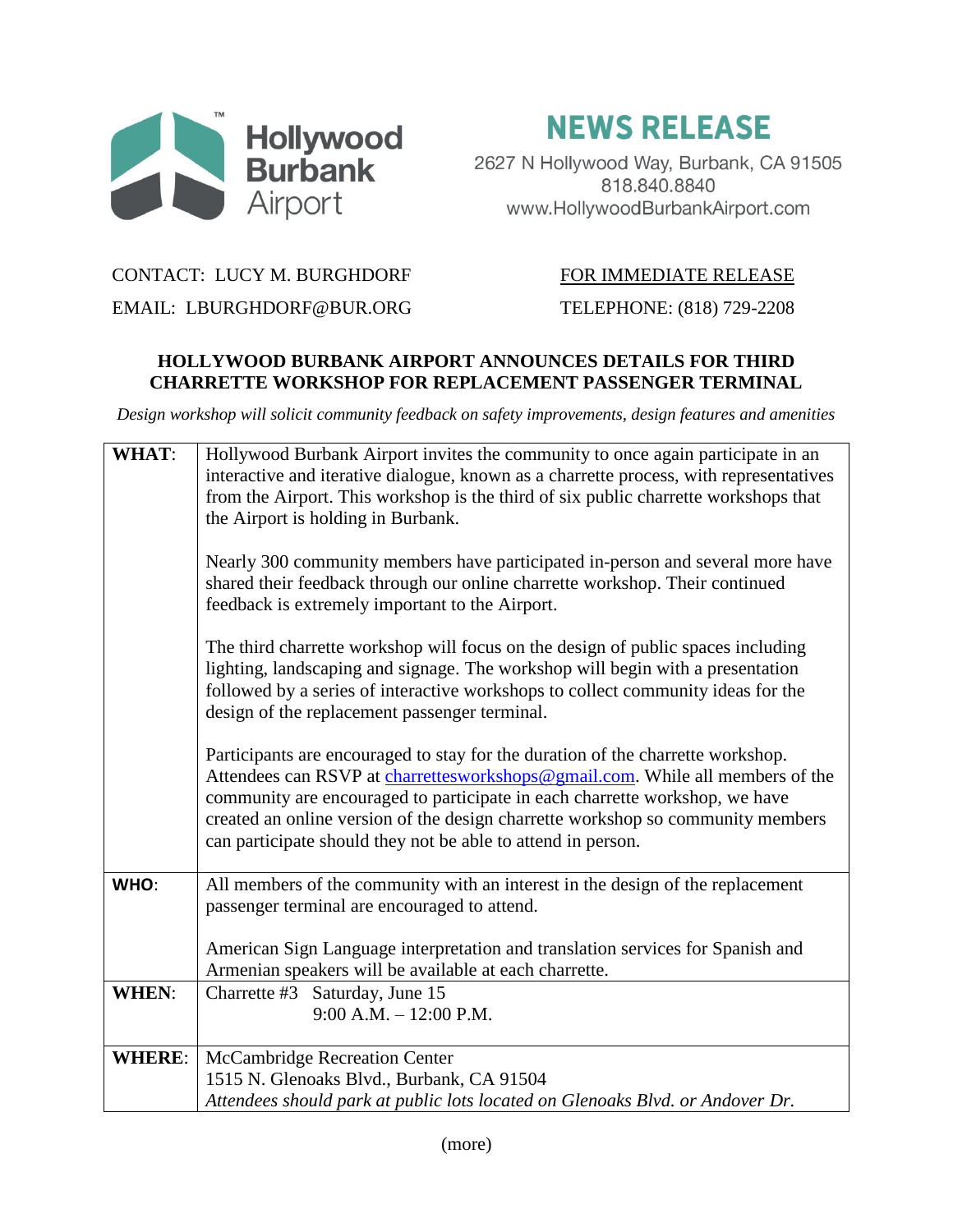

**NEWS RELEASE** 

2627 N Hollywood Way, Burbank, CA 91505 818.840.8840 www.HollywoodBurbankAirport.com

## CONTACT: LUCY M. BURGHDORF FOR IMMEDIATE RELEASE

EMAIL: LBURGHDORF@BUR.ORG TELEPHONE: (818) 729-2208

## **HOLLYWOOD BURBANK AIRPORT ANNOUNCES DETAILS FOR THIRD CHARRETTE WORKSHOP FOR REPLACEMENT PASSENGER TERMINAL**

*Design workshop will solicit community feedback on safety improvements, design features and amenities*

| <b>WHAT:</b>  | Hollywood Burbank Airport invites the community to once again participate in an<br>interactive and iterative dialogue, known as a charrette process, with representatives<br>from the Airport. This workshop is the third of six public charrette workshops that<br>the Airport is holding in Burbank.<br>Nearly 300 community members have participated in-person and several more have           |
|---------------|----------------------------------------------------------------------------------------------------------------------------------------------------------------------------------------------------------------------------------------------------------------------------------------------------------------------------------------------------------------------------------------------------|
|               | shared their feedback through our online charrette workshop. Their continued<br>feedback is extremely important to the Airport.                                                                                                                                                                                                                                                                    |
|               | The third charrette workshop will focus on the design of public spaces including<br>lighting, landscaping and signage. The workshop will begin with a presentation<br>followed by a series of interactive workshops to collect community ideas for the<br>design of the replacement passenger terminal.                                                                                            |
|               | Participants are encouraged to stay for the duration of the charrette workshop.<br>Attendees can RSVP at charrettesworkshops@gmail.com. While all members of the<br>community are encouraged to participate in each charrette workshop, we have<br>created an online version of the design charrette workshop so community members<br>can participate should they not be able to attend in person. |
| WHO:          | All members of the community with an interest in the design of the replacement<br>passenger terminal are encouraged to attend.                                                                                                                                                                                                                                                                     |
|               | American Sign Language interpretation and translation services for Spanish and<br>Armenian speakers will be available at each charrette.                                                                                                                                                                                                                                                           |
| <b>WHEN:</b>  | Charrette #3 Saturday, June 15<br>$9:00$ A.M. $-12:00$ P.M.                                                                                                                                                                                                                                                                                                                                        |
| <b>WHERE:</b> | McCambridge Recreation Center                                                                                                                                                                                                                                                                                                                                                                      |
|               | 1515 N. Glenoaks Blvd., Burbank, CA 91504                                                                                                                                                                                                                                                                                                                                                          |
|               | Attendees should park at public lots located on Glenoaks Blvd. or Andover Dr.                                                                                                                                                                                                                                                                                                                      |